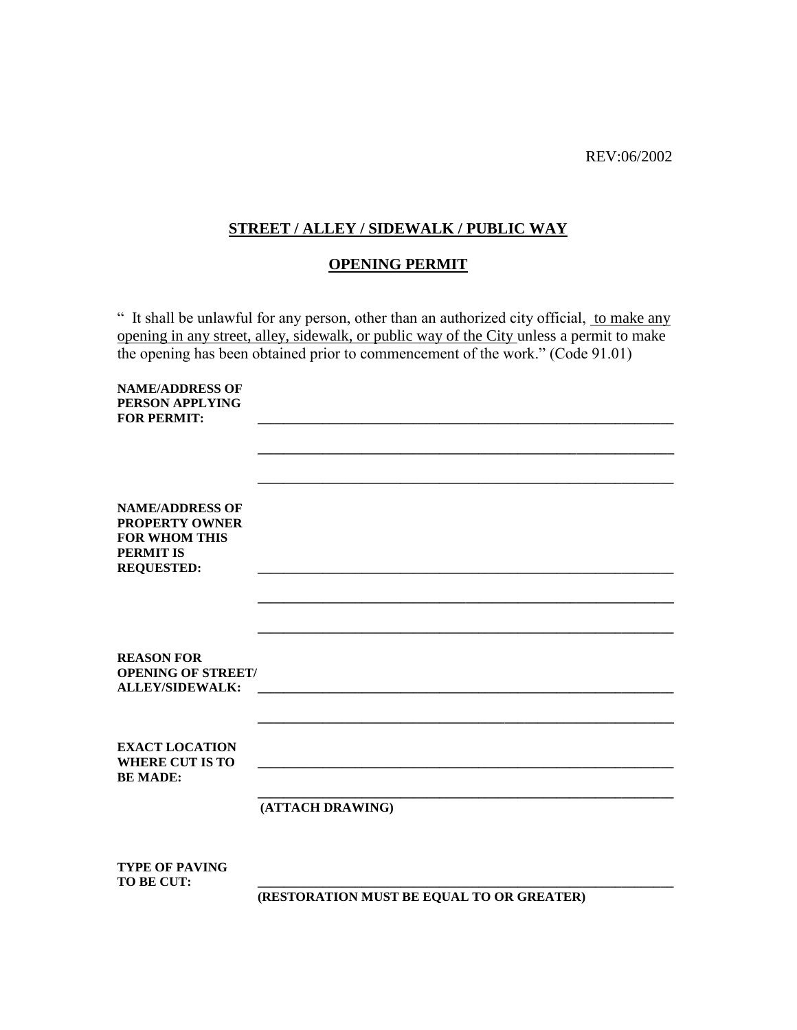REV:06/2002

## **STREET / ALLEY / SIDEWALK / PUBLIC WAY**

## **OPENING PERMIT**

" It shall be unlawful for any person, other than an authorized city official, to make any opening in any street, alley, sidewalk, or public way of the City unless a permit to make the opening has been obtained prior to commencement of the work." (Code 91.01)

| <b>NAME/ADDRESS OF</b><br>PERSON APPLYING<br><b>FOR PERMIT:</b>                                                  |                                           |
|------------------------------------------------------------------------------------------------------------------|-------------------------------------------|
|                                                                                                                  |                                           |
|                                                                                                                  |                                           |
| <b>NAME/ADDRESS OF</b><br><b>PROPERTY OWNER</b><br><b>FOR WHOM THIS</b><br><b>PERMIT IS</b><br><b>REQUESTED:</b> |                                           |
|                                                                                                                  |                                           |
|                                                                                                                  |                                           |
| <b>REASON FOR</b><br><b>OPENING OF STREET/</b><br><b>ALLEY/SIDEWALK:</b>                                         |                                           |
|                                                                                                                  |                                           |
| <b>EXACT LOCATION</b><br><b>WHERE CUT IS TO</b><br><b>BE MADE:</b>                                               |                                           |
|                                                                                                                  | (ATTACH DRAWING)                          |
| <b>TYPE OF PAVING</b>                                                                                            |                                           |
| TO BE CUT:                                                                                                       | (RESTORATION MUST BE EQUAL TO OR GREATER) |